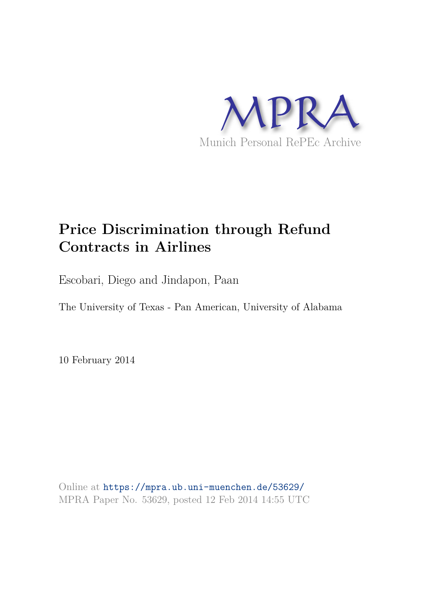

# **Price Discrimination through Refund Contracts in Airlines**

Escobari, Diego and Jindapon, Paan

The University of Texas - Pan American, University of Alabama

10 February 2014

Online at https://mpra.ub.uni-muenchen.de/53629/ MPRA Paper No. 53629, posted 12 Feb 2014 14:55 UTC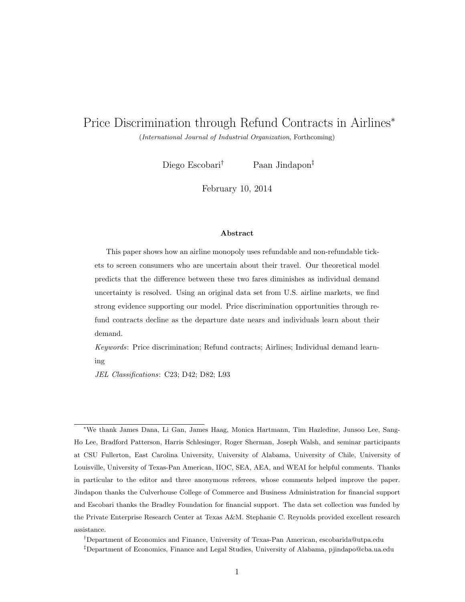# Price Discrimination through Refund Contracts in Airlines<sup>∗</sup>

(International Journal of Industrial Organization, Forthcoming)

Diego Escobari<sup>†</sup> Paan Jindapon<sup>‡</sup>

February 10, 2014

#### Abstract

This paper shows how an airline monopoly uses refundable and non-refundable tickets to screen consumers who are uncertain about their travel. Our theoretical model predicts that the difference between these two fares diminishes as individual demand uncertainty is resolved. Using an original data set from U.S. airline markets, we find strong evidence supporting our model. Price discrimination opportunities through refund contracts decline as the departure date nears and individuals learn about their demand.

Keywords: Price discrimination; Refund contracts; Airlines; Individual demand learning

JEL Classifications: C23; D42; D82; L93

<sup>∗</sup>We thank James Dana, Li Gan, James Haag, Monica Hartmann, Tim Hazledine, Junsoo Lee, Sang-Ho Lee, Bradford Patterson, Harris Schlesinger, Roger Sherman, Joseph Walsh, and seminar participants at CSU Fullerton, East Carolina University, University of Alabama, University of Chile, University of Louisville, University of Texas-Pan American, IIOC, SEA, AEA, and WEAI for helpful comments. Thanks in particular to the editor and three anonymous referees, whose comments helped improve the paper. Jindapon thanks the Culverhouse College of Commerce and Business Administration for financial support and Escobari thanks the Bradley Foundation for financial support. The data set collection was funded by the Private Enterprise Research Center at Texas A&M. Stephanie C. Reynolds provided excellent research assistance.

<sup>†</sup>Department of Economics and Finance, University of Texas-Pan American, escobarida@utpa.edu

<sup>‡</sup>Department of Economics, Finance and Legal Studies, University of Alabama, pjindapo@cba.ua.edu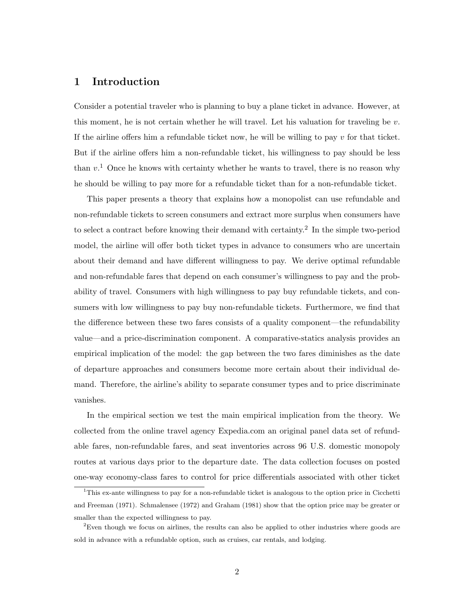### 1 Introduction

Consider a potential traveler who is planning to buy a plane ticket in advance. However, at this moment, he is not certain whether he will travel. Let his valuation for traveling be  $v$ . If the airline offers him a refundable ticket now, he will be willing to pay  $v$  for that ticket. But if the airline offers him a non-refundable ticket, his willingness to pay should be less than  $v<sup>1</sup>$  Once he knows with certainty whether he wants to travel, there is no reason why he should be willing to pay more for a refundable ticket than for a non-refundable ticket.

This paper presents a theory that explains how a monopolist can use refundable and non-refundable tickets to screen consumers and extract more surplus when consumers have to select a contract before knowing their demand with certainty.<sup>2</sup> In the simple two-period model, the airline will offer both ticket types in advance to consumers who are uncertain about their demand and have different willingness to pay. We derive optimal refundable and non-refundable fares that depend on each consumer's willingness to pay and the probability of travel. Consumers with high willingness to pay buy refundable tickets, and consumers with low willingness to pay buy non-refundable tickets. Furthermore, we find that the difference between these two fares consists of a quality component—the refundability value—and a price-discrimination component. A comparative-statics analysis provides an empirical implication of the model: the gap between the two fares diminishes as the date of departure approaches and consumers become more certain about their individual demand. Therefore, the airline's ability to separate consumer types and to price discriminate vanishes.

In the empirical section we test the main empirical implication from the theory. We collected from the online travel agency Expedia.com an original panel data set of refundable fares, non-refundable fares, and seat inventories across 96 U.S. domestic monopoly routes at various days prior to the departure date. The data collection focuses on posted one-way economy-class fares to control for price differentials associated with other ticket

<sup>1</sup>This ex-ante willingness to pay for a non-refundable ticket is analogous to the option price in Cicchetti and Freeman (1971). Schmalensee (1972) and Graham (1981) show that the option price may be greater or smaller than the expected willingness to pay.

<sup>&</sup>lt;sup>2</sup>Even though we focus on airlines, the results can also be applied to other industries where goods are sold in advance with a refundable option, such as cruises, car rentals, and lodging.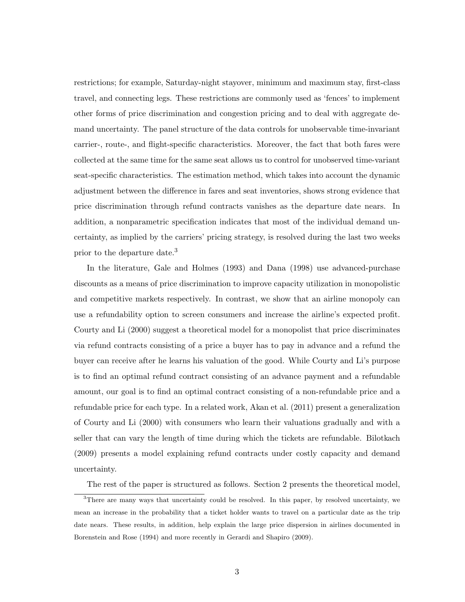restrictions; for example, Saturday-night stayover, minimum and maximum stay, first-class travel, and connecting legs. These restrictions are commonly used as 'fences' to implement other forms of price discrimination and congestion pricing and to deal with aggregate demand uncertainty. The panel structure of the data controls for unobservable time-invariant carrier-, route-, and flight-specific characteristics. Moreover, the fact that both fares were collected at the same time for the same seat allows us to control for unobserved time-variant seat-specific characteristics. The estimation method, which takes into account the dynamic adjustment between the difference in fares and seat inventories, shows strong evidence that price discrimination through refund contracts vanishes as the departure date nears. In addition, a nonparametric specification indicates that most of the individual demand uncertainty, as implied by the carriers' pricing strategy, is resolved during the last two weeks prior to the departure date.<sup>3</sup>

In the literature, Gale and Holmes (1993) and Dana (1998) use advanced-purchase discounts as a means of price discrimination to improve capacity utilization in monopolistic and competitive markets respectively. In contrast, we show that an airline monopoly can use a refundability option to screen consumers and increase the airline's expected profit. Courty and Li (2000) suggest a theoretical model for a monopolist that price discriminates via refund contracts consisting of a price a buyer has to pay in advance and a refund the buyer can receive after he learns his valuation of the good. While Courty and Li's purpose is to find an optimal refund contract consisting of an advance payment and a refundable amount, our goal is to find an optimal contract consisting of a non-refundable price and a refundable price for each type. In a related work, Akan et al. (2011) present a generalization of Courty and Li (2000) with consumers who learn their valuations gradually and with a seller that can vary the length of time during which the tickets are refundable. Bilotkach (2009) presents a model explaining refund contracts under costly capacity and demand uncertainty.

The rest of the paper is structured as follows. Section 2 presents the theoretical model,

<sup>&</sup>lt;sup>3</sup>There are many ways that uncertainty could be resolved. In this paper, by resolved uncertainty, we mean an increase in the probability that a ticket holder wants to travel on a particular date as the trip date nears. These results, in addition, help explain the large price dispersion in airlines documented in Borenstein and Rose (1994) and more recently in Gerardi and Shapiro (2009).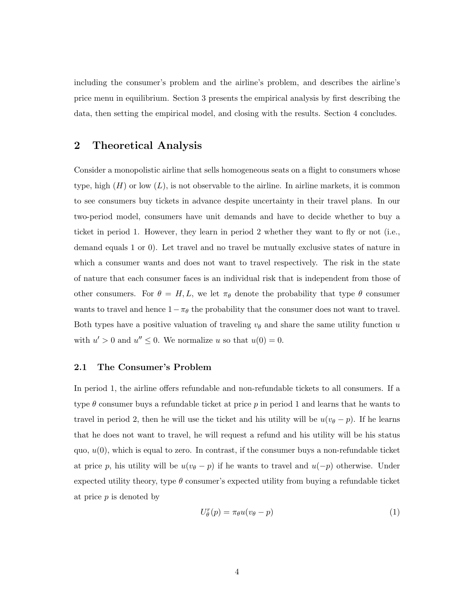including the consumer's problem and the airline's problem, and describes the airline's price menu in equilibrium. Section 3 presents the empirical analysis by first describing the data, then setting the empirical model, and closing with the results. Section 4 concludes.

# 2 Theoretical Analysis

Consider a monopolistic airline that sells homogeneous seats on a flight to consumers whose type, high  $(H)$  or low  $(L)$ , is not observable to the airline. In airline markets, it is common to see consumers buy tickets in advance despite uncertainty in their travel plans. In our two-period model, consumers have unit demands and have to decide whether to buy a ticket in period 1. However, they learn in period 2 whether they want to fly or not (i.e., demand equals 1 or 0). Let travel and no travel be mutually exclusive states of nature in which a consumer wants and does not want to travel respectively. The risk in the state of nature that each consumer faces is an individual risk that is independent from those of other consumers. For  $\theta = H, L$ , we let  $\pi_{\theta}$  denote the probability that type  $\theta$  consumer wants to travel and hence  $1-\pi_{\theta}$  the probability that the consumer does not want to travel. Both types have a positive valuation of traveling  $v_{\theta}$  and share the same utility function u with  $u' > 0$  and  $u'' \leq 0$ . We normalize u so that  $u(0) = 0$ .

#### 2.1 The Consumer's Problem

In period 1, the airline offers refundable and non-refundable tickets to all consumers. If a type  $\theta$  consumer buys a refundable ticket at price p in period 1 and learns that he wants to travel in period 2, then he will use the ticket and his utility will be  $u(v_{\theta}-p)$ . If he learns that he does not want to travel, he will request a refund and his utility will be his status quo,  $u(0)$ , which is equal to zero. In contrast, if the consumer buys a non-refundable ticket at price p, his utility will be  $u(v_{\theta} - p)$  if he wants to travel and  $u(-p)$  otherwise. Under expected utility theory, type  $\theta$  consumer's expected utility from buying a refundable ticket at price  $p$  is denoted by

$$
U_{\theta}^{r}(p) = \pi_{\theta}u(v_{\theta} - p)
$$
\n(1)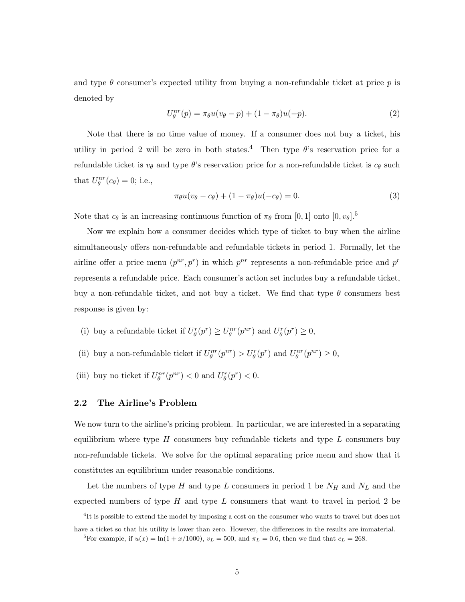and type  $\theta$  consumer's expected utility from buying a non-refundable ticket at price  $p$  is denoted by

$$
U_{\theta}^{nr}(p) = \pi_{\theta}u(v_{\theta} - p) + (1 - \pi_{\theta})u(-p).
$$
 (2)

Note that there is no time value of money. If a consumer does not buy a ticket, his utility in period 2 will be zero in both states.<sup>4</sup> Then type  $\theta$ 's reservation price for a refundable ticket is  $v_{\theta}$  and type  $\theta$ 's reservation price for a non-refundable ticket is  $c_{\theta}$  such that  $U_{\theta}^{nr}(c_{\theta}) = 0$ ; i.e.,

$$
\pi_{\theta}u(v_{\theta}-c_{\theta})+(1-\pi_{\theta})u(-c_{\theta})=0.
$$
\n(3)

Note that  $c_{\theta}$  is an increasing continuous function of  $\pi_{\theta}$  from [0, 1] onto [0,  $v_{\theta}$ ].<sup>5</sup>

Now we explain how a consumer decides which type of ticket to buy when the airline simultaneously offers non-refundable and refundable tickets in period 1. Formally, let the airline offer a price menu  $(p^{nr}, p^r)$  in which  $p^{nr}$  represents a non-refundable price and  $p^r$ represents a refundable price. Each consumer's action set includes buy a refundable ticket, buy a non-refundable ticket, and not buy a ticket. We find that type  $\theta$  consumers best response is given by:

- (i) buy a refundable ticket if  $U_{\theta}^r(p^r) \ge U_{\theta}^{nr}(p^{nr})$  and  $U_{\theta}^r(p^r) \ge 0$ ,
- (ii) buy a non-refundable ticket if  $U_{\theta}^{nr}(p^{nr}) > U_{\theta}^{r}(p^{r})$  and  $U_{\theta}^{nr}(p^{nr}) \geq 0$ ,
- (iii) buy no ticket if  $U_{\theta}^{nr}(p^{nr}) < 0$  and  $U_{\theta}^{r}(p^{r}) < 0$ .

#### 2.2 The Airline's Problem

We now turn to the airline's pricing problem. In particular, we are interested in a separating equilibrium where type  $H$  consumers buy refundable tickets and type  $L$  consumers buy non-refundable tickets. We solve for the optimal separating price menu and show that it constitutes an equilibrium under reasonable conditions.

Let the numbers of type H and type L consumers in period 1 be  $N_H$  and  $N_L$  and the expected numbers of type  $H$  and type  $L$  consumers that want to travel in period 2 be

<sup>&</sup>lt;sup>4</sup>It is possible to extend the model by imposing a cost on the consumer who wants to travel but does not have a ticket so that his utility is lower than zero. However, the differences in the results are immaterial.

<sup>&</sup>lt;sup>5</sup>For example, if  $u(x) = \ln(1 + x/1000)$ ,  $v_L = 500$ , and  $\pi_L = 0.6$ , then we find that  $c_L = 268$ .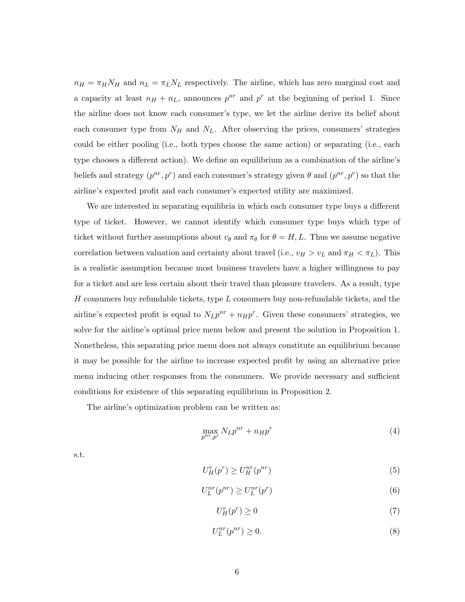$n_H = \pi_H N_H$  and  $n_L = \pi_L N_L$  respectively. The airline, which has zero marginal cost and a capacity at least  $n_H + n_L$ , announces  $p^{nr}$  and  $p^r$  at the beginning of period 1. Since the airline does not know each consumer's type, we let the airline derive its belief about each consumer type from  $N_H$  and  $N_L$ . After observing the prices, consumers' strategies could be either pooling (i.e., both types choose the same action) or separating (i.e., each type chooses a different action). We define an equilibrium as a combination of the airline's beliefs and strategy  $(p^{nr}, p^r)$  and each consumer's strategy given  $\theta$  and  $(p^{nr}, p^r)$  so that the airline's expected profit and each consumer's expected utility are maximized.

We are interested in separating equilibria in which each consumer type buys a different type of ticket. However, we cannot identify which consumer type buys which type of ticket without further assumptions about  $v_{\theta}$  and  $\pi_{\theta}$  for  $\theta = H, L$ . Thus we assume negative correlation between valuation and certainty about travel (i.e.,  $v_H > v_L$  and  $\pi_H < \pi_L$ ). This is a realistic assumption because most business travelers have a higher willingness to pay for a ticket and are less certain about their travel than pleasure travelers. As a result, type  $H$  consumers buy refundable tickets, type  $L$  consumers buy non-refundable tickets, and the airline's expected profit is equal to  $N_L p^{nr} + n_H p^r$ . Given these consumers' strategies, we solve for the airline's optimal price menu below and present the solution in Proposition 1. Nonetheless, this separating price menu does not always constitute an equilibrium because it may be possible for the airline to increase expected profit by using an alternative price menu inducing other responses from the consumers. We provide necessary and sufficient conditions for existence of this separating equilibrium in Proposition 2.

The airline's optimization problem can be written as:

$$
\max_{p^{nr}, p^r} N_L p^{nr} + n_H p^r \tag{4}
$$

s.t.

$$
U_H^r(p^r) \ge U_H^{nr}(p^{nr})\tag{5}
$$

$$
U_L^{nr}(p^{nr}) \ge U_L^{nr}(p^r) \tag{6}
$$

$$
U_H^r(p^r) \ge 0\tag{7}
$$

$$
U_L^{nr}(p^{nr}) \ge 0. \tag{8}
$$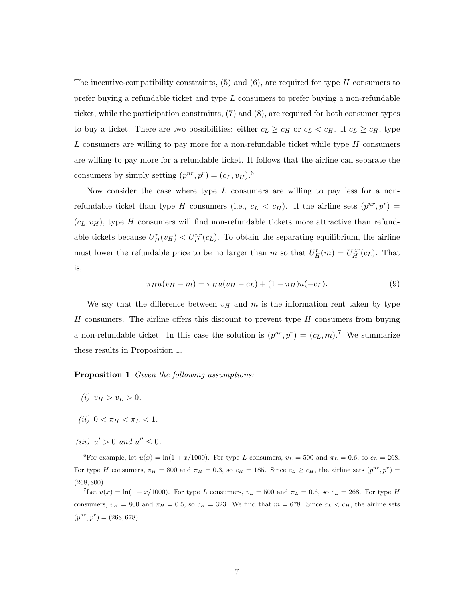The incentive-compatibility constraints,  $(5)$  and  $(6)$ , are required for type H consumers to prefer buying a refundable ticket and type L consumers to prefer buying a non-refundable ticket, while the participation constraints, (7) and (8), are required for both consumer types to buy a ticket. There are two possibilities: either  $c_L \geq c_H$  or  $c_L < c_H$ . If  $c_L \geq c_H$ , type L consumers are willing to pay more for a non-refundable ticket while type  $H$  consumers are willing to pay more for a refundable ticket. It follows that the airline can separate the consumers by simply setting  $(p^{nr}, p^r) = (c_L, v_H)$ .<sup>6</sup>

Now consider the case where type  $L$  consumers are willing to pay less for a nonrefundable ticket than type H consumers (i.e.,  $c_L < c_H$ ). If the airline sets  $(p^{nr}, p^r)$  =  $(c<sub>L</sub>, v<sub>H</sub>)$ , type H consumers will find non-refundable tickets more attractive than refundable tickets because  $U_H^r(v_H) < U_H^{nr}(c_L)$ . To obtain the separating equilibrium, the airline must lower the refundable price to be no larger than m so that  $U_H^r(m) = U_H^{nr}(c_L)$ . That is,

$$
\pi_H u(v_H - m) = \pi_H u(v_H - c_L) + (1 - \pi_H)u(-c_L). \tag{9}
$$

We say that the difference between  $v_H$  and m is the information rent taken by type H consumers. The airline offers this discount to prevent type  $H$  consumers from buying a non-refundable ticket. In this case the solution is  $(p^{nr}, p^r) = (c_L, m)$ .<sup>7</sup> We summarize these results in Proposition 1.

Proposition 1 Given the following assumptions:

- (*i*)  $v_H > v_L > 0$ .
- (*ii*)  $0 < \pi_H < \pi_L < 1$ .
- (iii)  $u' > 0$  and  $u'' \leq 0$ .

<sup>6</sup>For example, let  $u(x) = \ln(1 + x/1000)$ . For type L consumers,  $v_L = 500$  and  $\pi_L = 0.6$ , so  $c_L = 268$ . For type H consumers,  $v_H = 800$  and  $\pi_H = 0.3$ , so  $c_H = 185$ . Since  $c_L \ge c_H$ , the airline sets  $(p^{nr}, p^r)$  $(268, 800)$ .

The  $u(x) = \ln(1 + x/1000)$ . For type L consumers,  $v_L = 500$  and  $\pi_L = 0.6$ , so  $c_L = 268$ . For type H consumers,  $v_H = 800$  and  $\pi_H = 0.5$ , so  $c_H = 323$ . We find that  $m = 678$ . Since  $c_L < c_H$ , the airline sets  $(p^{nr}, p^r) = (268, 678).$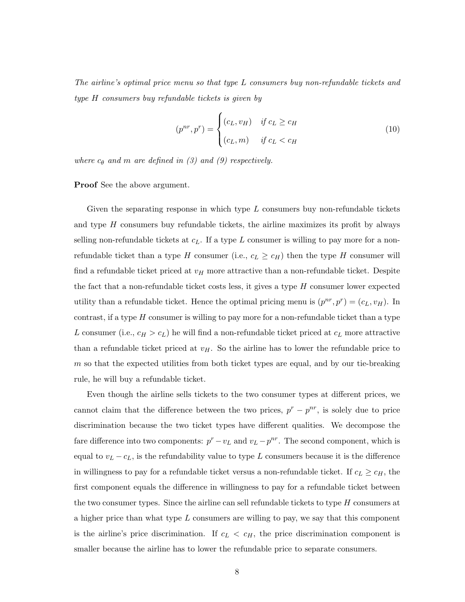The airline's optimal price menu so that type L consumers buy non-refundable tickets and type H consumers buy refundable tickets is given by

$$
(p^{nr}, p^r) = \begin{cases} (c_L, v_H) & \text{if } c_L \ge c_H \\ (c_L, m) & \text{if } c_L < c_H \end{cases} \tag{10}
$$

where  $c_{\theta}$  and m are defined in (3) and (9) respectively.

Proof See the above argument.

Given the separating response in which type  $L$  consumers buy non-refundable tickets and type  $H$  consumers buy refundable tickets, the airline maximizes its profit by always selling non-refundable tickets at  $c<sub>L</sub>$ . If a type L consumer is willing to pay more for a nonrefundable ticket than a type H consumer (i.e.,  $c_L \geq c_H$ ) then the type H consumer will find a refundable ticket priced at  $v_H$  more attractive than a non-refundable ticket. Despite the fact that a non-refundable ticket costs less, it gives a type  $H$  consumer lower expected utility than a refundable ticket. Hence the optimal pricing menu is  $(p^{nr}, p^r) = (c_L, v_H)$ . In contrast, if a type  $H$  consumer is willing to pay more for a non-refundable ticket than a type L consumer (i.e.,  $c_H > c_L$ ) he will find a non-refundable ticket priced at  $c_L$  more attractive than a refundable ticket priced at  $v_H$ . So the airline has to lower the refundable price to  $m$  so that the expected utilities from both ticket types are equal, and by our tie-breaking rule, he will buy a refundable ticket.

Even though the airline sells tickets to the two consumer types at different prices, we cannot claim that the difference between the two prices,  $p^{r} - p^{nr}$ , is solely due to price discrimination because the two ticket types have different qualities. We decompose the fare difference into two components:  $p^r - v_L$  and  $v_L - p^{nr}$ . The second component, which is equal to  $v_L - c_L$ , is the refundability value to type L consumers because it is the difference in willingness to pay for a refundable ticket versus a non-refundable ticket. If  $c_L \geq c_H$ , the first component equals the difference in willingness to pay for a refundable ticket between the two consumer types. Since the airline can sell refundable tickets to type  $H$  consumers at a higher price than what type  $L$  consumers are willing to pay, we say that this component is the airline's price discrimination. If  $c_L < c_H$ , the price discrimination component is smaller because the airline has to lower the refundable price to separate consumers.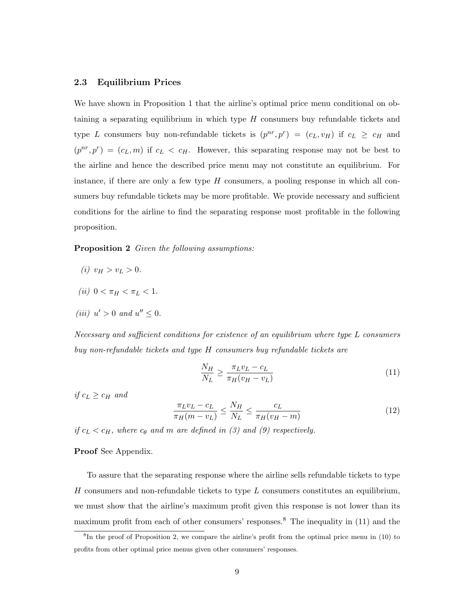#### 2.3 Equilibrium Prices

We have shown in Proposition 1 that the airline's optimal price menu conditional on obtaining a separating equilibrium in which type  $H$  consumers buy refundable tickets and type L consumers buy non-refundable tickets is  $(p^{nr}, p^r) = (c_L, v_H)$  if  $c_L \geq c_H$  and  $(p^{nr}, p^r) = (c_L, m)$  if  $c_L < c_H$ . However, this separating response may not be best to the airline and hence the described price menu may not constitute an equilibrium. For instance, if there are only a few type  $H$  consumers, a pooling response in which all consumers buy refundable tickets may be more profitable. We provide necessary and sufficient conditions for the airline to find the separating response most profitable in the following proposition.

Proposition 2 Given the following assumptions:

- (*i*)  $v_H > v_L > 0$ .
- (*ii*)  $0 < \pi_H < \pi_L < 1$ .
- (iii)  $u' > 0$  and  $u'' \leq 0$ .

Necessary and sufficient conditions for existence of an equilibrium where type L consumers buy non-refundable tickets and type H consumers buy refundable tickets are

$$
\frac{N_H}{N_L} \ge \frac{\pi_L v_L - c_L}{\pi_H (v_H - v_L)}\tag{11}
$$

if  $c_L \geq c_H$  and

$$
\frac{\pi_L v_L - c_L}{\pi_H (m - v_L)} \le \frac{N_H}{N_L} \le \frac{c_L}{\pi_H (v_H - m)}
$$
\n(12)

if  $c_L < c_H$ , where  $c_{\theta}$  and m are defined in (3) and (9) respectively.

#### Proof See Appendix.

To assure that the separating response where the airline sells refundable tickets to type H consumers and non-refundable tickets to type  $L$  consumers constitutes an equilibrium, we must show that the airline's maximum profit given this response is not lower than its maximum profit from each of other consumers' responses.<sup>8</sup> The inequality in  $(11)$  and the

<sup>&</sup>lt;sup>8</sup>In the proof of Proposition 2, we compare the airline's profit from the optimal price menu in (10) to profits from other optimal price menus given other consumers' responses.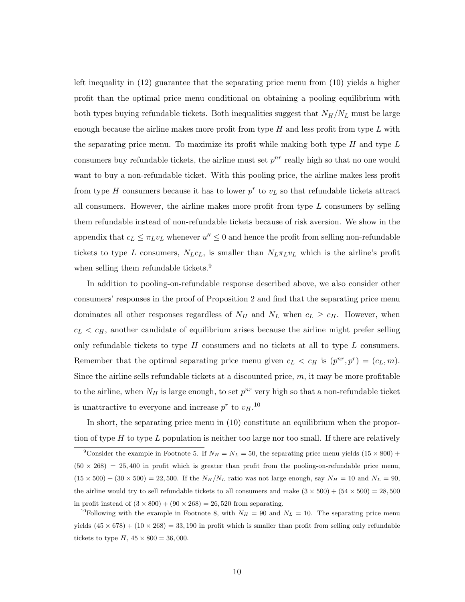left inequality in (12) guarantee that the separating price menu from (10) yields a higher profit than the optimal price menu conditional on obtaining a pooling equilibrium with both types buying refundable tickets. Both inequalities suggest that  $N_H/N_L$  must be large enough because the airline makes more profit from type  $H$  and less profit from type  $L$  with the separating price menu. To maximize its profit while making both type  $H$  and type  $L$ consumers buy refundable tickets, the airline must set  $p^{nr}$  really high so that no one would want to buy a non-refundable ticket. With this pooling price, the airline makes less profit from type H consumers because it has to lower  $p^r$  to  $v_L$  so that refundable tickets attract all consumers. However, the airline makes more profit from type  $L$  consumers by selling them refundable instead of non-refundable tickets because of risk aversion. We show in the appendix that  $c_L \leq \pi_L v_L$  whenever  $u'' \leq 0$  and hence the profit from selling non-refundable tickets to type L consumers,  $N_Lc_L$ , is smaller than  $N_L\pi_Lv_L$  which is the airline's profit when selling them refundable tickets.<sup>9</sup>

In addition to pooling-on-refundable response described above, we also consider other consumers' responses in the proof of Proposition 2 and find that the separating price menu dominates all other responses regardless of  $N_H$  and  $N_L$  when  $c_L \geq c_H$ . However, when  $c<sub>L</sub> < c<sub>H</sub>$ , another candidate of equilibrium arises because the airline might prefer selling only refundable tickets to type  $H$  consumers and no tickets at all to type  $L$  consumers. Remember that the optimal separating price menu given  $c_L < c_H$  is  $(p^{nr}, p^r) = (c_L, m)$ . Since the airline sells refundable tickets at a discounted price,  $m$ , it may be more profitable to the airline, when  $N_H$  is large enough, to set  $p^{nr}$  very high so that a non-refundable ticket is unattractive to everyone and increase  $p^r$  to  $v_H$ .<sup>10</sup>

In short, the separating price menu in (10) constitute an equilibrium when the proportion of type  $H$  to type  $L$  population is neither too large nor too small. If there are relatively

<sup>&</sup>lt;sup>9</sup>Consider the example in Footnote 5. If  $N_H = N_L = 50$ , the separating price menu yields  $(15 \times 800)$  +  $(50 \times 268) = 25{,}400$  in profit which is greater than profit from the pooling-on-refundable price menu,  $(15 \times 500) + (30 \times 500) = 22{,}500$ . If the  $N_H/N_L$  ratio was not large enough, say  $N_H = 10$  and  $N_L = 90$ , the airline would try to sell refundable tickets to all consumers and make  $(3 \times 500) + (54 \times 500) = 28,500$ in profit instead of  $(3 \times 800) + (90 \times 268) = 26,520$  from separating.

<sup>&</sup>lt;sup>10</sup>Following with the example in Footnote 8, with  $N_H = 90$  and  $N_L = 10$ . The separating price menu yields  $(45 \times 678) + (10 \times 268) = 33{,}190$  in profit which is smaller than profit from selling only refundable tickets to type  $H$ ,  $45 \times 800 = 36,000$ .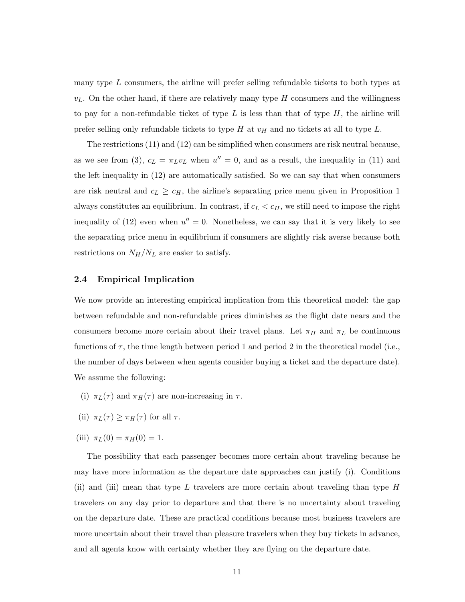many type  $L$  consumers, the airline will prefer selling refundable tickets to both types at  $v<sub>L</sub>$ . On the other hand, if there are relatively many type H consumers and the willingness to pay for a non-refundable ticket of type L is less than that of type  $H$ , the airline will prefer selling only refundable tickets to type H at  $v_H$  and no tickets at all to type L.

The restrictions (11) and (12) can be simplified when consumers are risk neutral because, as we see from (3),  $c_L = \pi_L v_L$  when  $u'' = 0$ , and as a result, the inequality in (11) and the left inequality in (12) are automatically satisfied. So we can say that when consumers are risk neutral and  $c_L \geq c_H$ , the airline's separating price menu given in Proposition 1 always constitutes an equilibrium. In contrast, if  $c_L < c_H$ , we still need to impose the right inequality of (12) even when  $u'' = 0$ . Nonetheless, we can say that it is very likely to see the separating price menu in equilibrium if consumers are slightly risk averse because both restrictions on  $N_H/N_L$  are easier to satisfy.

#### 2.4 Empirical Implication

We now provide an interesting empirical implication from this theoretical model: the gap between refundable and non-refundable prices diminishes as the flight date nears and the consumers become more certain about their travel plans. Let  $\pi_H$  and  $\pi_L$  be continuous functions of  $\tau$ , the time length between period 1 and period 2 in the theoretical model (i.e., the number of days between when agents consider buying a ticket and the departure date). We assume the following:

- (i)  $\pi_L(\tau)$  and  $\pi_H(\tau)$  are non-increasing in  $\tau$ .
- (ii)  $\pi_L(\tau) \geq \pi_H(\tau)$  for all  $\tau$ .
- (iii)  $\pi_L(0) = \pi_H(0) = 1$ .

The possibility that each passenger becomes more certain about traveling because he may have more information as the departure date approaches can justify (i). Conditions (ii) and (iii) mean that type L travelers are more certain about traveling than type  $H$ travelers on any day prior to departure and that there is no uncertainty about traveling on the departure date. These are practical conditions because most business travelers are more uncertain about their travel than pleasure travelers when they buy tickets in advance, and all agents know with certainty whether they are flying on the departure date.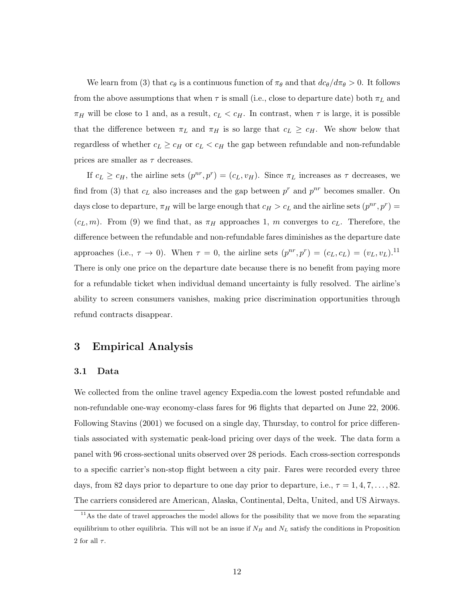We learn from (3) that  $c_{\theta}$  is a continuous function of  $\pi_{\theta}$  and that  $dc_{\theta}/d\pi_{\theta} > 0$ . It follows from the above assumptions that when  $\tau$  is small (i.e., close to departure date) both  $\pi_L$  and  $\pi_H$  will be close to 1 and, as a result,  $c_L < c_H$ . In contrast, when  $\tau$  is large, it is possible that the difference between  $\pi_L$  and  $\pi_H$  is so large that  $c_L \geq c_H$ . We show below that regardless of whether  $c_L \geq c_H$  or  $c_L < c_H$  the gap between refundable and non-refundable prices are smaller as  $\tau$  decreases.

If  $c_L \geq c_H$ , the airline sets  $(p^{nr}, p^r) = (c_L, v_H)$ . Since  $\pi_L$  increases as  $\tau$  decreases, we find from (3) that  $c<sub>L</sub>$  also increases and the gap between  $p<sup>r</sup>$  and  $p<sup>nr</sup>$  becomes smaller. On days close to departure,  $\pi_H$  will be large enough that  $c_H > c_L$  and the airline sets  $(p^{nr}, p^r) =$  $(c_L, m)$ . From (9) we find that, as  $\pi_H$  approaches 1, m converges to  $c_L$ . Therefore, the difference between the refundable and non-refundable fares diminishes as the departure date approaches (i.e.,  $\tau \to 0$ ). When  $\tau = 0$ , the airline sets  $(p^{nr}, p^r) = (c_L, c_L) = (v_L, v_L)$ .<sup>11</sup> There is only one price on the departure date because there is no benefit from paying more for a refundable ticket when individual demand uncertainty is fully resolved. The airline's ability to screen consumers vanishes, making price discrimination opportunities through refund contracts disappear.

# 3 Empirical Analysis

#### 3.1 Data

We collected from the online travel agency Expedia.com the lowest posted refundable and non-refundable one-way economy-class fares for 96 flights that departed on June 22, 2006. Following Stavins (2001) we focused on a single day, Thursday, to control for price differentials associated with systematic peak-load pricing over days of the week. The data form a panel with 96 cross-sectional units observed over 28 periods. Each cross-section corresponds to a specific carrier's non-stop flight between a city pair. Fares were recorded every three days, from 82 days prior to departure to one day prior to departure, i.e.,  $\tau = 1, 4, 7, \ldots, 82$ . The carriers considered are American, Alaska, Continental, Delta, United, and US Airways.

 $11$ As the date of travel approaches the model allows for the possibility that we move from the separating equilibrium to other equilibria. This will not be an issue if  $N_H$  and  $N_L$  satisfy the conditions in Proposition 2 for all  $\tau$ .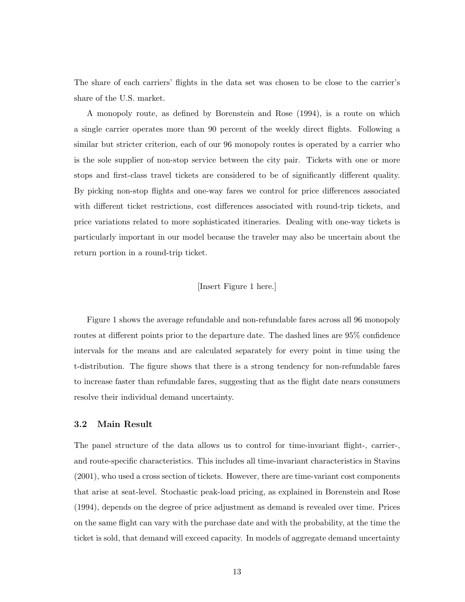The share of each carriers' flights in the data set was chosen to be close to the carrier's share of the U.S. market.

A monopoly route, as defined by Borenstein and Rose (1994), is a route on which a single carrier operates more than 90 percent of the weekly direct flights. Following a similar but stricter criterion, each of our 96 monopoly routes is operated by a carrier who is the sole supplier of non-stop service between the city pair. Tickets with one or more stops and first-class travel tickets are considered to be of significantly different quality. By picking non-stop flights and one-way fares we control for price differences associated with different ticket restrictions, cost differences associated with round-trip tickets, and price variations related to more sophisticated itineraries. Dealing with one-way tickets is particularly important in our model because the traveler may also be uncertain about the return portion in a round-trip ticket.

#### [Insert Figure 1 here.]

Figure 1 shows the average refundable and non-refundable fares across all 96 monopoly routes at different points prior to the departure date. The dashed lines are 95% confidence intervals for the means and are calculated separately for every point in time using the t-distribution. The figure shows that there is a strong tendency for non-refundable fares to increase faster than refundable fares, suggesting that as the flight date nears consumers resolve their individual demand uncertainty.

#### 3.2 Main Result

The panel structure of the data allows us to control for time-invariant flight-, carrier-, and route-specific characteristics. This includes all time-invariant characteristics in Stavins (2001), who used a cross section of tickets. However, there are time-variant cost components that arise at seat-level. Stochastic peak-load pricing, as explained in Borenstein and Rose (1994), depends on the degree of price adjustment as demand is revealed over time. Prices on the same flight can vary with the purchase date and with the probability, at the time the ticket is sold, that demand will exceed capacity. In models of aggregate demand uncertainty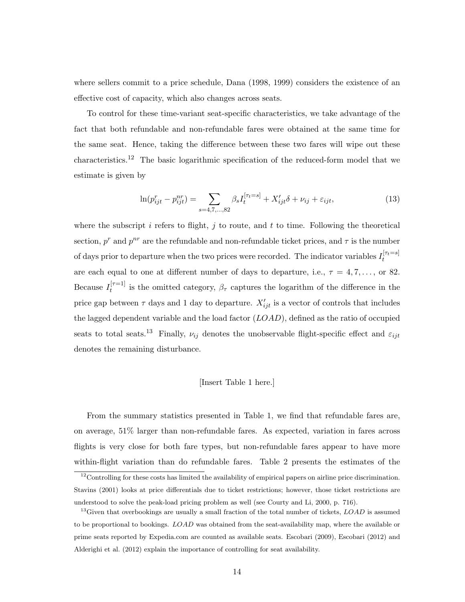where sellers commit to a price schedule, Dana (1998, 1999) considers the existence of an effective cost of capacity, which also changes across seats.

To control for these time-variant seat-specific characteristics, we take advantage of the fact that both refundable and non-refundable fares were obtained at the same time for the same seat. Hence, taking the difference between these two fares will wipe out these characteristics.<sup>12</sup> The basic logarithmic specification of the reduced-form model that we estimate is given by

$$
\ln(p_{ijt}^r - p_{ijt}^{nr}) = \sum_{s=4,7,...,82} \beta_s I_t^{[\tau_t = s]} + X_{ijt}' \delta + \nu_{ij} + \varepsilon_{ijt},\tag{13}
$$

where the subscript  $i$  refers to flight,  $j$  to route, and  $t$  to time. Following the theoretical section,  $p^r$  and  $p^{nr}$  are the refundable and non-refundable ticket prices, and  $\tau$  is the number of days prior to departure when the two prices were recorded. The indicator variables  $I_t^{[\tau_t=s]}$ t are each equal to one at different number of days to departure, i.e.,  $\tau = 4, 7, \ldots$ , or 82. Because  $I_t^{[\tau=1]}$  $t^{[t-1]}$  is the omitted category,  $\beta_{\tau}$  captures the logarithm of the difference in the price gap between  $\tau$  days and 1 day to departure.  $X'_{ijt}$  is a vector of controls that includes the lagged dependent variable and the load factor  $(LOAD)$ , defined as the ratio of occupied seats to total seats.<sup>13</sup> Finally,  $\nu_{ij}$  denotes the unobservable flight-specific effect and  $\varepsilon_{ijt}$ denotes the remaining disturbance.

#### [Insert Table 1 here.]

From the summary statistics presented in Table 1, we find that refundable fares are, on average, 51% larger than non-refundable fares. As expected, variation in fares across flights is very close for both fare types, but non-refundable fares appear to have more within-flight variation than do refundable fares. Table 2 presents the estimates of the

 $12$ Controlling for these costs has limited the availability of empirical papers on airline price discrimination. Stavins (2001) looks at price differentials due to ticket restrictions; however, those ticket restrictions are understood to solve the peak-load pricing problem as well (see Courty and Li, 2000, p. 716).

<sup>&</sup>lt;sup>13</sup>Given that overbookings are usually a small fraction of the total number of tickets,  $LOAD$  is assumed to be proportional to bookings. LOAD was obtained from the seat-availability map, where the available or prime seats reported by Expedia.com are counted as available seats. Escobari (2009), Escobari (2012) and Alderighi et al. (2012) explain the importance of controlling for seat availability.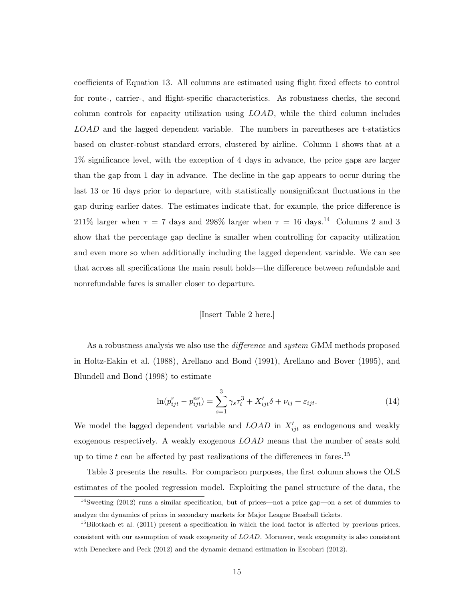coefficients of Equation 13. All columns are estimated using flight fixed effects to control for route-, carrier-, and flight-specific characteristics. As robustness checks, the second column controls for capacity utilization using LOAD, while the third column includes LOAD and the lagged dependent variable. The numbers in parentheses are t-statistics based on cluster-robust standard errors, clustered by airline. Column 1 shows that at a 1% significance level, with the exception of 4 days in advance, the price gaps are larger than the gap from 1 day in advance. The decline in the gap appears to occur during the last 13 or 16 days prior to departure, with statistically nonsignificant fluctuations in the gap during earlier dates. The estimates indicate that, for example, the price difference is 211% larger when  $\tau = 7$  days and 298% larger when  $\tau = 16$  days.<sup>14</sup> Columns 2 and 3 show that the percentage gap decline is smaller when controlling for capacity utilization and even more so when additionally including the lagged dependent variable. We can see that across all specifications the main result holds—the difference between refundable and nonrefundable fares is smaller closer to departure.

#### [Insert Table 2 here.]

As a robustness analysis we also use the difference and system GMM methods proposed in Holtz-Eakin et al. (1988), Arellano and Bond (1991), Arellano and Bover (1995), and Blundell and Bond (1998) to estimate

$$
\ln(p_{ijt}^r - p_{ijt}^{nr}) = \sum_{s=1}^3 \gamma_s \tau_t^3 + X_{ijt}' \delta + \nu_{ij} + \varepsilon_{ijt}.
$$
\n(14)

We model the lagged dependent variable and  $LOAD$  in  $X'_{ijt}$  as endogenous and weakly exogenous respectively. A weakly exogenous LOAD means that the number of seats sold up to time t can be affected by past realizations of the differences in fares.<sup>15</sup>

Table 3 presents the results. For comparison purposes, the first column shows the OLS estimates of the pooled regression model. Exploiting the panel structure of the data, the

 $14$ Sweeting (2012) runs a similar specification, but of prices—not a price gap—on a set of dummies to analyze the dynamics of prices in secondary markets for Major League Baseball tickets.

 $15$ Bilotkach et al. (2011) present a specification in which the load factor is affected by previous prices, consistent with our assumption of weak exogeneity of LOAD. Moreover, weak exogeneity is also consistent with Deneckere and Peck (2012) and the dynamic demand estimation in Escobari (2012).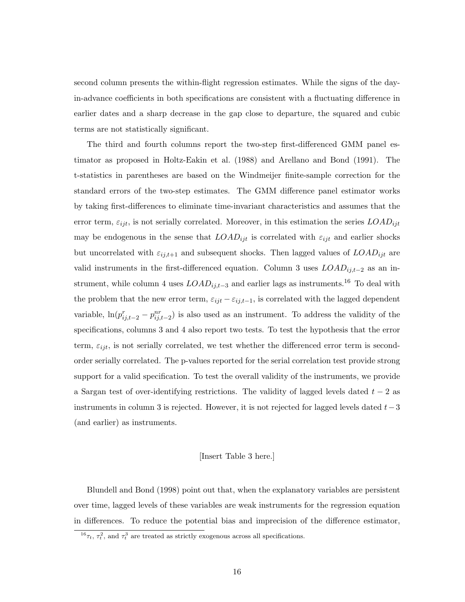second column presents the within-flight regression estimates. While the signs of the dayin-advance coefficients in both specifications are consistent with a fluctuating difference in earlier dates and a sharp decrease in the gap close to departure, the squared and cubic terms are not statistically significant.

The third and fourth columns report the two-step first-differenced GMM panel estimator as proposed in Holtz-Eakin et al. (1988) and Arellano and Bond (1991). The t-statistics in parentheses are based on the Windmeijer finite-sample correction for the standard errors of the two-step estimates. The GMM difference panel estimator works by taking first-differences to eliminate time-invariant characteristics and assumes that the error term,  $\varepsilon_{ijt}$ , is not serially correlated. Moreover, in this estimation the series  $LOAD_{ijt}$ may be endogenous in the sense that  $LOAD_{ijt}$  is correlated with  $\varepsilon_{ijt}$  and earlier shocks but uncorrelated with  $\varepsilon_{ij,t+1}$  and subsequent shocks. Then lagged values of  $LOAD_{ijt}$  are valid instruments in the first-differenced equation. Column 3 uses  $LOAD_{ij,t-2}$  as an instrument, while column 4 uses  $LOAD_{ij,t-3}$  and earlier lags as instruments.<sup>16</sup> To deal with the problem that the new error term,  $\varepsilon_{ijt} - \varepsilon_{ij,t-1}$ , is correlated with the lagged dependent variable,  $\ln(p_{ij,t-2}^r - p_{ij,t-2}^{nr})$  is also used as an instrument. To address the validity of the specifications, columns 3 and 4 also report two tests. To test the hypothesis that the error term,  $\varepsilon_{ijt}$ , is not serially correlated, we test whether the differenced error term is secondorder serially correlated. The p-values reported for the serial correlation test provide strong support for a valid specification. To test the overall validity of the instruments, we provide a Sargan test of over-identifying restrictions. The validity of lagged levels dated  $t - 2$  as instruments in column 3 is rejected. However, it is not rejected for lagged levels dated  $t-3$ (and earlier) as instruments.

#### [Insert Table 3 here.]

Blundell and Bond (1998) point out that, when the explanatory variables are persistent over time, lagged levels of these variables are weak instruments for the regression equation in differences. To reduce the potential bias and imprecision of the difference estimator,

<sup>&</sup>lt;sup>16</sup> $\tau_t$ ,  $\tau_t^2$ , and  $\tau_t^3$  are treated as strictly exogenous across all specifications.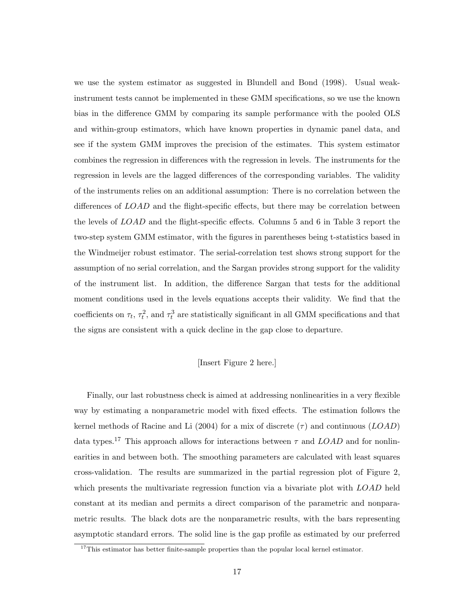we use the system estimator as suggested in Blundell and Bond (1998). Usual weakinstrument tests cannot be implemented in these GMM specifications, so we use the known bias in the difference GMM by comparing its sample performance with the pooled OLS and within-group estimators, which have known properties in dynamic panel data, and see if the system GMM improves the precision of the estimates. This system estimator combines the regression in differences with the regression in levels. The instruments for the regression in levels are the lagged differences of the corresponding variables. The validity of the instruments relies on an additional assumption: There is no correlation between the differences of LOAD and the flight-specific effects, but there may be correlation between the levels of LOAD and the flight-specific effects. Columns 5 and 6 in Table 3 report the two-step system GMM estimator, with the figures in parentheses being t-statistics based in the Windmeijer robust estimator. The serial-correlation test shows strong support for the assumption of no serial correlation, and the Sargan provides strong support for the validity of the instrument list. In addition, the difference Sargan that tests for the additional moment conditions used in the levels equations accepts their validity. We find that the coefficients on  $\tau_t$ ,  $\tau_t^2$ , and  $\tau_t^3$  are statistically significant in all GMM specifications and that the signs are consistent with a quick decline in the gap close to departure.

#### [Insert Figure 2 here.]

Finally, our last robustness check is aimed at addressing nonlinearities in a very flexible way by estimating a nonparametric model with fixed effects. The estimation follows the kernel methods of Racine and Li (2004) for a mix of discrete  $(\tau)$  and continuous (LOAD) data types.<sup>17</sup> This approach allows for interactions between  $\tau$  and LOAD and for nonlinearities in and between both. The smoothing parameters are calculated with least squares cross-validation. The results are summarized in the partial regression plot of Figure 2, which presents the multivariate regression function via a bivariate plot with LOAD held constant at its median and permits a direct comparison of the parametric and nonparametric results. The black dots are the nonparametric results, with the bars representing asymptotic standard errors. The solid line is the gap profile as estimated by our preferred

<sup>&</sup>lt;sup>17</sup>This estimator has better finite-sample properties than the popular local kernel estimator.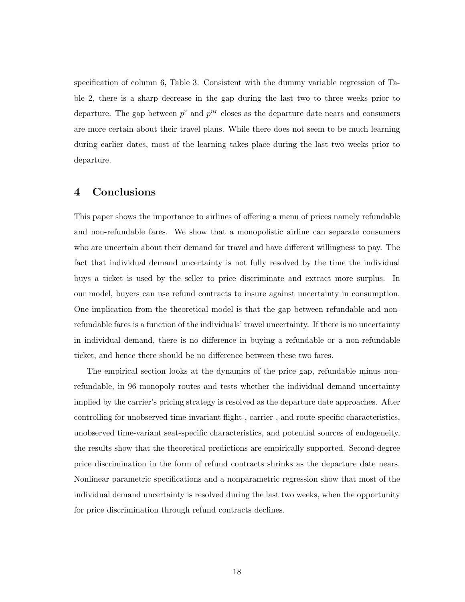specification of column 6, Table 3. Consistent with the dummy variable regression of Table 2, there is a sharp decrease in the gap during the last two to three weeks prior to departure. The gap between  $p^r$  and  $p^{nr}$  closes as the departure date nears and consumers are more certain about their travel plans. While there does not seem to be much learning during earlier dates, most of the learning takes place during the last two weeks prior to departure.

# 4 Conclusions

This paper shows the importance to airlines of offering a menu of prices namely refundable and non-refundable fares. We show that a monopolistic airline can separate consumers who are uncertain about their demand for travel and have different willingness to pay. The fact that individual demand uncertainty is not fully resolved by the time the individual buys a ticket is used by the seller to price discriminate and extract more surplus. In our model, buyers can use refund contracts to insure against uncertainty in consumption. One implication from the theoretical model is that the gap between refundable and nonrefundable fares is a function of the individuals' travel uncertainty. If there is no uncertainty in individual demand, there is no difference in buying a refundable or a non-refundable ticket, and hence there should be no difference between these two fares.

The empirical section looks at the dynamics of the price gap, refundable minus nonrefundable, in 96 monopoly routes and tests whether the individual demand uncertainty implied by the carrier's pricing strategy is resolved as the departure date approaches. After controlling for unobserved time-invariant flight-, carrier-, and route-specific characteristics, unobserved time-variant seat-specific characteristics, and potential sources of endogeneity, the results show that the theoretical predictions are empirically supported. Second-degree price discrimination in the form of refund contracts shrinks as the departure date nears. Nonlinear parametric specifications and a nonparametric regression show that most of the individual demand uncertainty is resolved during the last two weeks, when the opportunity for price discrimination through refund contracts declines.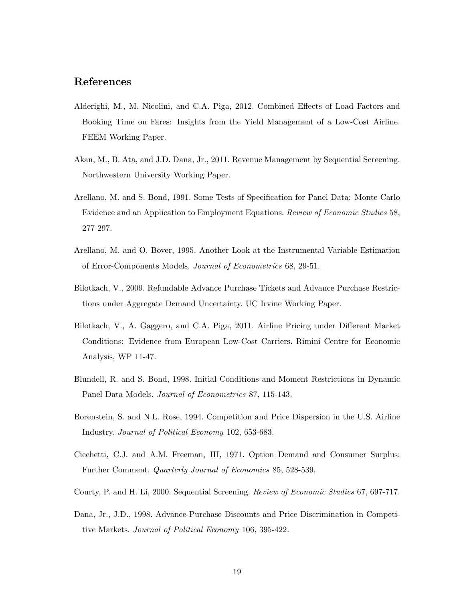# References

- Alderighi, M., M. Nicolini, and C.A. Piga, 2012. Combined Effects of Load Factors and Booking Time on Fares: Insights from the Yield Management of a Low-Cost Airline. FEEM Working Paper.
- Akan, M., B. Ata, and J.D. Dana, Jr., 2011. Revenue Management by Sequential Screening. Northwestern University Working Paper.
- Arellano, M. and S. Bond, 1991. Some Tests of Specification for Panel Data: Monte Carlo Evidence and an Application to Employment Equations. Review of Economic Studies 58, 277-297.
- Arellano, M. and O. Bover, 1995. Another Look at the Instrumental Variable Estimation of Error-Components Models. Journal of Econometrics 68, 29-51.
- Bilotkach, V., 2009. Refundable Advance Purchase Tickets and Advance Purchase Restrictions under Aggregate Demand Uncertainty. UC Irvine Working Paper.
- Bilotkach, V., A. Gaggero, and C.A. Piga, 2011. Airline Pricing under Different Market Conditions: Evidence from European Low-Cost Carriers. Rimini Centre for Economic Analysis, WP 11-47.
- Blundell, R. and S. Bond, 1998. Initial Conditions and Moment Restrictions in Dynamic Panel Data Models. Journal of Econometrics 87, 115-143.
- Borenstein, S. and N.L. Rose, 1994. Competition and Price Dispersion in the U.S. Airline Industry. Journal of Political Economy 102, 653-683.
- Cicchetti, C.J. and A.M. Freeman, III, 1971. Option Demand and Consumer Surplus: Further Comment. Quarterly Journal of Economics 85, 528-539.
- Courty, P. and H. Li, 2000. Sequential Screening. Review of Economic Studies 67, 697-717.
- Dana, Jr., J.D., 1998. Advance-Purchase Discounts and Price Discrimination in Competitive Markets. Journal of Political Economy 106, 395-422.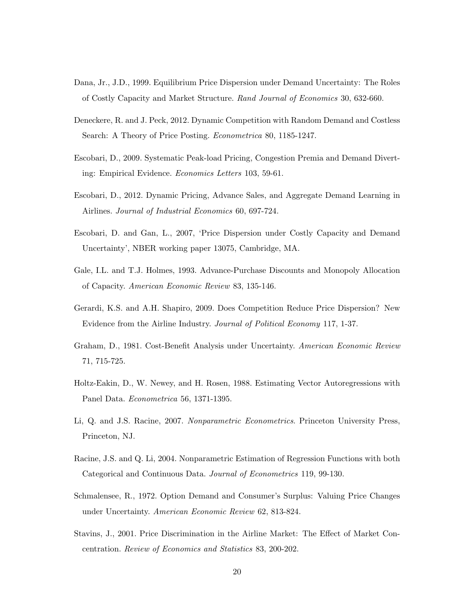- Dana, Jr., J.D., 1999. Equilibrium Price Dispersion under Demand Uncertainty: The Roles of Costly Capacity and Market Structure. Rand Journal of Economics 30, 632-660.
- Deneckere, R. and J. Peck, 2012. Dynamic Competition with Random Demand and Costless Search: A Theory of Price Posting. Econometrica 80, 1185-1247.
- Escobari, D., 2009. Systematic Peak-load Pricing, Congestion Premia and Demand Diverting: Empirical Evidence. Economics Letters 103, 59-61.
- Escobari, D., 2012. Dynamic Pricing, Advance Sales, and Aggregate Demand Learning in Airlines. Journal of Industrial Economics 60, 697-724.
- Escobari, D. and Gan, L., 2007, 'Price Dispersion under Costly Capacity and Demand Uncertainty', NBER working paper 13075, Cambridge, MA.
- Gale, I.L. and T.J. Holmes, 1993. Advance-Purchase Discounts and Monopoly Allocation of Capacity. American Economic Review 83, 135-146.
- Gerardi, K.S. and A.H. Shapiro, 2009. Does Competition Reduce Price Dispersion? New Evidence from the Airline Industry. Journal of Political Economy 117, 1-37.
- Graham, D., 1981. Cost-Benefit Analysis under Uncertainty. American Economic Review 71, 715-725.
- Holtz-Eakin, D., W. Newey, and H. Rosen, 1988. Estimating Vector Autoregressions with Panel Data. Econometrica 56, 1371-1395.
- Li, Q. and J.S. Racine, 2007. Nonparametric Econometrics. Princeton University Press, Princeton, NJ.
- Racine, J.S. and Q. Li, 2004. Nonparametric Estimation of Regression Functions with both Categorical and Continuous Data. Journal of Econometrics 119, 99-130.
- Schmalensee, R., 1972. Option Demand and Consumer's Surplus: Valuing Price Changes under Uncertainty. American Economic Review 62, 813-824.
- Stavins, J., 2001. Price Discrimination in the Airline Market: The Effect of Market Concentration. Review of Economics and Statistics 83, 200-202.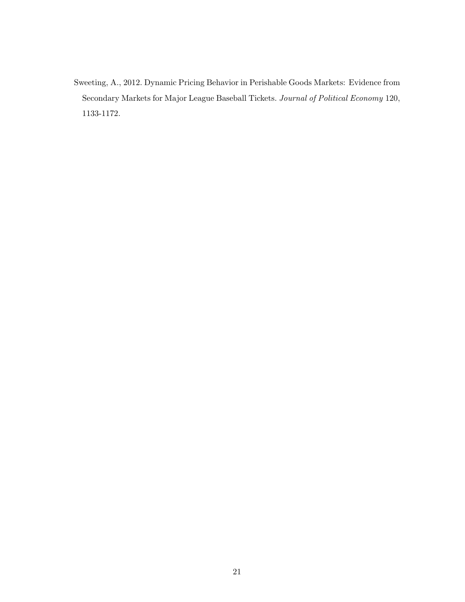Sweeting, A., 2012. Dynamic Pricing Behavior in Perishable Goods Markets: Evidence from Secondary Markets for Major League Baseball Tickets. Journal of Political Economy 120, 1133-1172.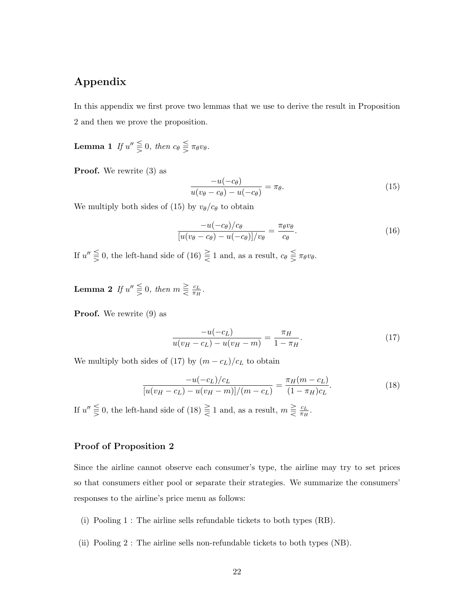# Appendix

In this appendix we first prove two lemmas that we use to derive the result in Proposition 2 and then we prove the proposition.

**Lemma 1** If  $u'' \leq 0$ , then  $c_{\theta} \leq \pi_{\theta}v_{\theta}$ .

**Proof.** We rewrite  $(3)$  as

$$
\frac{-u(-c_{\theta})}{u(v_{\theta}-c_{\theta})-u(-c_{\theta})}=\pi_{\theta}.
$$
\n(15)

We multiply both sides of (15) by  $v_{\theta}/c_{\theta}$  to obtain

$$
\frac{-u(-c_{\theta})/c_{\theta}}{[u(v_{\theta}-c_{\theta})-u(-c_{\theta})]/v_{\theta}} = \frac{\pi_{\theta}v_{\theta}}{c_{\theta}}.
$$
\n(16)

If  $u'' \leq 0$ , the left-hand side of  $(16) \leq 1$  and, as a result,  $c_{\theta} \leq \pi_{\theta}v_{\theta}$ .

**Lemma 2** If  $u'' \leq 0$ , then  $m \geq \frac{c_L}{\pi u}$  $\frac{c_L}{\pi_H}$  .

Proof. We rewrite (9) as

$$
\frac{-u(-c_L)}{u(v_H - c_L) - u(v_H - m)} = \frac{\pi_H}{1 - \pi_H}.\tag{17}
$$

We multiply both sides of (17) by  $(m - c_L)/c_L$  to obtain

$$
\frac{-u(-c_L)/c_L}{[u(v_H - c_L) - u(v_H - m)]/(m - c_L)} = \frac{\pi_H(m - c_L)}{(1 - \pi_H)c_L}.
$$
\n(18)

If  $u'' \leq 0$ , the left-hand side of  $(18) \leq 1$  and, as a result,  $m \geq \frac{c_L}{\pi \mu}$  $\frac{c_L}{\pi_H}.$ 

#### Proof of Proposition 2

Since the airline cannot observe each consumer's type, the airline may try to set prices so that consumers either pool or separate their strategies. We summarize the consumers' responses to the airline's price menu as follows:

- (i) Pooling 1 : The airline sells refundable tickets to both types (RB).
- (ii) Pooling 2 : The airline sells non-refundable tickets to both types (NB).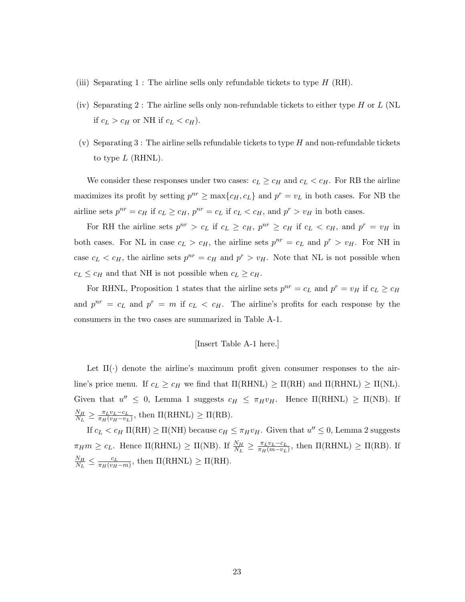- (iii) Separating 1 : The airline sells only refundable tickets to type  $H$  (RH).
- (iv) Separating 2 : The airline sells only non-refundable tickets to either type  $H$  or  $L$  (NL if  $c_L > c_H$  or NH if  $c_L < c_H$ ).
- (v) Separating 3 : The airline sells refundable tickets to type  $H$  and non-refundable tickets to type  $L$  (RHNL).

We consider these responses under two cases:  $c_L \geq c_H$  and  $c_L < c_H$ . For RB the airline maximizes its profit by setting  $p^{nr} \ge \max\{c_H, c_L\}$  and  $p^r = v_L$  in both cases. For NB the airline sets  $p^{nr} = c_H$  if  $c_L \geq c_H$ ,  $p^{nr} = c_L$  if  $c_L < c_H$ , and  $p^r > v_H$  in both cases.

For RH the airline sets  $p^{nr} > c_L$  if  $c_L \geq c_H$ ,  $p^{nr} \geq c_H$  if  $c_L < c_H$ , and  $p^r = v_H$  in both cases. For NL in case  $c_L > c_H$ , the airline sets  $p^{nr} = c_L$  and  $p^r > v_H$ . For NH in case  $c_L < c_H$ , the airline sets  $p^{nr} = c_H$  and  $p^r > v_H$ . Note that NL is not possible when  $c_L \leq c_H$  and that NH is not possible when  $c_L \geq c_H$ .

For RHNL, Proposition 1 states that the airline sets  $p^{nr} = c_L$  and  $p^r = v_H$  if  $c_L \ge c_H$ and  $p^{nr} = c_L$  and  $p^r = m$  if  $c_L < c_H$ . The airline's profits for each response by the consumers in the two cases are summarized in Table A-1.

#### [Insert Table A-1 here.]

Let  $\Pi(\cdot)$  denote the airline's maximum profit given consumer responses to the airline's price menu. If  $c_L \geq c_H$  we find that  $\Pi(RHNL) \geq \Pi(RH)$  and  $\Pi(RHNL) \geq \Pi(NL)$ . Given that  $u'' \leq 0$ , Lemma 1 suggests  $c_H \leq \pi_H v_H$ . Hence  $\Pi(RHNL) \geq \Pi(NB)$ . If  $N_H$  $\frac{N_H}{N_L} \geq \frac{\pi_L v_L - c_L}{\pi_H (v_H - v_L)}$  $\frac{\pi_L v_L - c_L}{\pi_H (v_H - v_L)},$  then  $\Pi(\text{RHNL}) \geq \Pi(\text{RB}).$ 

If  $c_L < c_H \Pi(\text{RH}) \geq \Pi(\text{NH})$  because  $c_H \leq \pi_H v_H$ . Given that  $u'' \leq 0$ , Lemma 2 suggests  $\pi_H m \geq c_L$ . Hence  $\Pi(\text{RHNL}) \geq \Pi(\text{NB})$ . If  $\frac{N_H}{N_L} \geq \frac{\pi_L v_L - c_L}{\pi_H (m - v_L)}$  $\frac{\pi_L v_L - c_L}{\pi_H(m-v_L)}$ , then  $\Pi(\text{RHNL}) \geq \Pi(\text{RB})$ . If  $N_H$  $\frac{N_H}{N_L} \leq \frac{c_L}{\pi_H(v_H)}$  $\frac{c_L}{\pi_H(v_H-m)}$ , then  $\Pi(\text{RHNL}) \geq \Pi(\text{RH}).$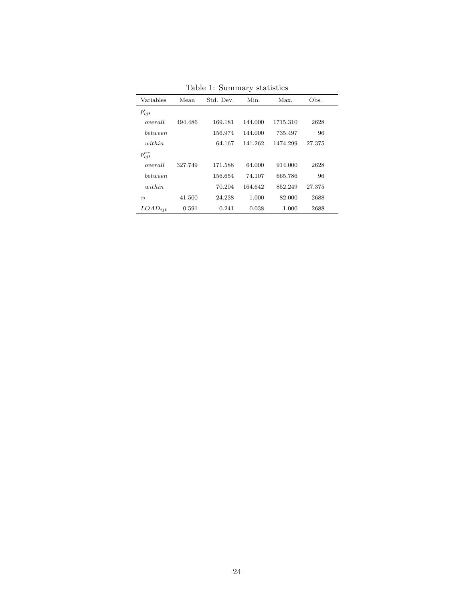|                |         |           | ັ       |          |        |
|----------------|---------|-----------|---------|----------|--------|
| Variables      | Mean    | Std. Dev. | Min.    | Max.     | Obs.   |
| $p_{ijt}^r$    |         |           |         |          |        |
| overall        | 494.486 | 169.181   | 144.000 | 1715.310 | 2628   |
| <i>between</i> |         | 156.974   | 144.000 | 735.497  | 96     |
| within         |         | 64.167    | 141.262 | 1474.299 | 27.375 |
| $p_{ijt}^{nr}$ |         |           |         |          |        |
| overall        | 327.749 | 171.588   | 64.000  | 914.000  | 2628   |
| <i>between</i> |         | 156.654   | 74.107  | 665.786  | 96     |
| within         |         | 70.204    | 164.642 | 852.249  | 27.375 |
| $\tau_t$       | 41.500  | 24.238    | 1.000   | 82.000   | 2688   |
| $LOAD_{ijt}$   | 0.591   | 0.241     | 0.038   | 1.000    | 2688   |
|                |         |           |         |          |        |

Table 1: Summary statistics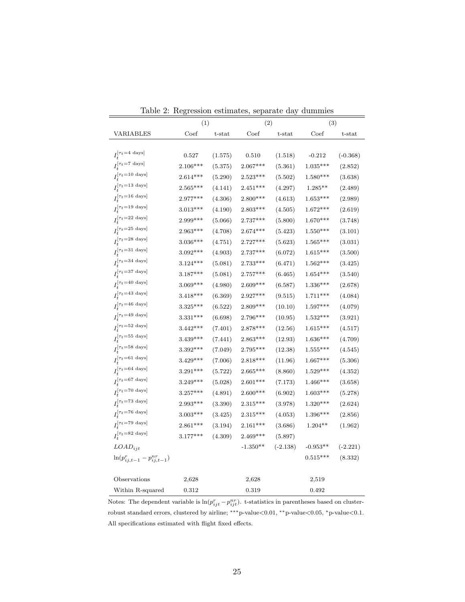|                                                   | (1)        |         | n communes, separane aug<br>(2) |            | $rac{1}{2}$<br>(3) |            |
|---------------------------------------------------|------------|---------|---------------------------------|------------|--------------------|------------|
| <b>VARIABLES</b>                                  | Coef       | t-stat  | Coef                            | t-stat     | Coef               | t-stat     |
|                                                   |            |         |                                 |            |                    |            |
| $I_t^{[\tau_t=4 \text{ days}]}$                   | 0.527      | (1.575) | 0.510                           | (1.518)    | $-0.212$           | $(-0.368)$ |
| $I_t^{[\tau_t=7 \text{ days}]}$                   | 2.106***   | (5.375) | $2.067***$                      | (5.361)    | $1.035***$         | (2.852)    |
| $I_t^{[\tau_t=10\text{ days}]}$                   | $2.614***$ | (5.290) | $2.523***$                      | (5.502)    | $1.580***$         | (3.638)    |
| $I_{t}^{[\tau_{t}=13~\mathrm{days}]}$             | $2.565***$ | (4.141) | $2.451***$                      | (4.297)    | $1.285**$          | (2.489)    |
| $I_t^{[\tau_t=16 \text{ days}]}$                  | $2.977***$ | (4.306) | $2.800***$                      | (4.613)    | $1.653***$         | (2.989)    |
| $I_t^{[\tau_t=19 \text{ days}]}$                  | $3.013***$ | (4.190) | $2.803***$                      | (4.505)    | $1.672***$         | (2.619)    |
| $I_t^{[\tau_t=22 \text{ days}]}$                  | 2.999***   | (5.066) | $2.737***$                      | (5.800)    | $1.670***$         | (3.748)    |
| $I_t^{[\tau_t=25\ \text{days}]}$                  | $2.963***$ | (4.708) | $2.674***$                      | (5.423)    | $1.550***$         | (3.101)    |
| $I_t^{[\tau_t=28 \text{ days}]}$                  | $3.036***$ | (4.751) | $2.727***$                      | (5.623)    | $1.565***$         | (3.031)    |
| $I_t^{[\tau_t=31 \text{ days}]}$                  | $3.092***$ | (4.903) | $2.737***$                      | (6.072)    | $1.615***$         | (3.500)    |
| $I_t^{[\tau_t=34~\mathrm{days}]}$                 | $3.124***$ | (5.081) | $2.733***$                      | (6.471)    | $1.562***$         | (3.425)    |
| $I_{t}^{[\tau_{t}=37~\mathrm{days}]}$             | $3.187***$ | (5.081) | $2.757***$                      | (6.465)    | $1.654***$         | (3.540)    |
| $I_t^{[\tau_t=40~\mathrm{days}]}$                 | $3.069***$ | (4.980) | $2.609***$                      | (6.587)    | $1.336***$         | (2.678)    |
| $I_t^{[\tau_t=43 \text{ days}]}$                  | $3.418***$ | (6.369) | $2.927***$                      | (9.515)    | $1.711***$         | (4.084)    |
| $I_{t}^{\left[\tau_{t}=46\text{ days}\right]}$    | $3.325***$ | (6.522) | $2.809***$                      | (10.10)    | $1.597***$         | (4.079)    |
| $I_t^{[\tau_t=49 \text{ days}]}$                  | $3.331***$ | (6.698) | $2.796***$                      | (10.95)    | $1.532***$         | (3.921)    |
| $I_t^{[\tau_t=52~\mathrm{days}]}$                 | $3.442***$ | (7.401) | $2.878***$                      | (12.56)    | $1.615***$         | (4.517)    |
| $I_t^{[\tau_t=55~\mathrm{days}]}$                 | $3.439***$ | (7.441) | $2.863***$                      | (12.93)    | $1.636***$         | (4.709)    |
| $I_t^{[\tau_t=58~\rm{days}]}$                     | $3.392***$ | (7.049) | $2.795***$                      | (12.38)    | $1.555***$         | (4.545)    |
| $I_{t}^{[\tau_{t}=61~\mathrm{days}]}$             | $3.429***$ | (7.006) | $2.818***$                      | (11.96)    | $1.667***$         | (5.306)    |
| $I_{t}^{\left[\tau_{t}=64\text{ days}\right]}$    | $3.291***$ | (5.722) | $2.665***$                      | (8.860)    | $1.529***$         | (4.352)    |
| $I_{t}^{\left[\tau_{t}=67\ \mathrm{days}\right]}$ | $3.249***$ | (5.028) | $2.601***$                      | (7.173)    | $1.466***$         | (3.658)    |
| $I_t^{[\tau_t = 70~{\rm days}]}$                  | $3.257***$ | (4.891) | $2.600***$                      | (6.902)    | $1.603***$         | (5.278)    |
| $I_t^{[\tau_t=73 \text{ days}]}$                  | $2.993***$ | (3.390) | $2.315***$                      | (3.978)    | $1.320***$         | (2.624)    |
| $I_t^{[\tau_t=76 \text{ days}]}$                  | $3.003***$ | (3.425) | $2.315***$                      | (4.053)    | $1.396***$         | (2.856)    |
| $I_t^{[\tau_t=79 \text{ days}]}$                  | $2.861***$ | (3.194) | $2.161***$                      | (3.686)    | $1.204**$          | (1.962)    |
| $I_{t}^{\left[\tau_{t}=82\text{ days}\right]}$    | $3.177***$ | (4.309) | $2.469***$                      | (5.897)    |                    |            |
| $LOAD_{iit}$                                      |            |         | $-1.350**$                      | $(-2.138)$ | $-0.953**$         | $(-2.221)$ |
| $\ln(p_{ij,t-1}^r - p_{ij,t-1}^{nr})$             |            |         |                                 |            | $0.515***$         | (8.332)    |
|                                                   |            |         |                                 |            |                    |            |
| Observations                                      | 2,628      |         | 2,628                           |            | 2,519              |            |
| Within R-squared                                  | 0.312      |         | 0.319                           |            | 0.492              |            |

Table 2: Regression estimates, separate day dummies

Notes: The dependent variable is  $\ln(p_{ijt}^r - p_{ijt}^{nr})$ . t-statistics in parentheses based on clusterrobust standard errors, clustered by airline; ∗∗∗p-value<0.01, ∗∗p-value<0.05, <sup>∗</sup>p-value<0.1. All specifications estimated with flight fixed effects.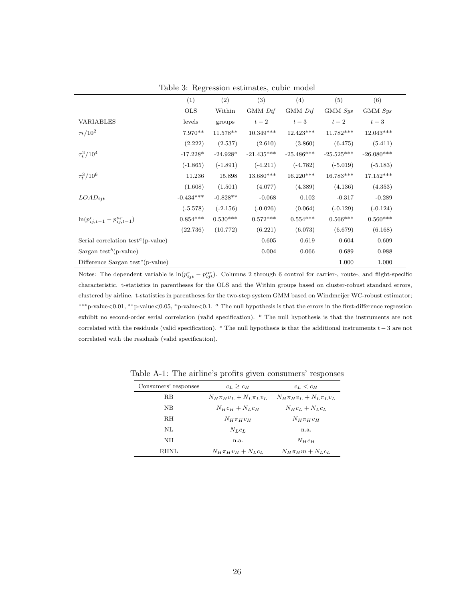|                                                             | (1)         | (2)        | (3)          | (4)          | (5)          | (6)          |
|-------------------------------------------------------------|-------------|------------|--------------|--------------|--------------|--------------|
|                                                             | <b>OLS</b>  | Within     | GMM Dif      | GMM Dif      | GMM Sys      | GMM Sys      |
| <b>VARIABLES</b>                                            | levels      | groups     | $t-2$        | $t-3$        | $t-2$        | $t-3$        |
| $\tau_t/10^2$                                               | $7.970**$   | $11.578**$ | $10.349***$  | $12.423***$  | $11.782***$  | 12.043***    |
|                                                             | (2.222)     | (2.537)    | (2.610)      | (3.860)      | (6.475)      | (5.411)      |
| $\tau_t^2/10^4$                                             | $-17.228*$  | $-24.928*$ | $-21.435***$ | $-25.486***$ | $-25.525***$ | $-26.080***$ |
|                                                             | $(-1.865)$  | $(-1.891)$ | $(-4.211)$   | $(-4.782)$   | $(-5.019)$   | $(-5.183)$   |
| $\tau_t^3/10^6$                                             | 11.236      | 15.898     | 13.680***    | $16.220***$  | 16.783***    | $17.152***$  |
|                                                             | (1.608)     | (1.501)    | (4.077)      | (4.389)      | (4.136)      | (4.353)      |
| $LOAD_{ijt}$                                                | $-0.434***$ | $-0.828**$ | $-0.068$     | 0.102        | $-0.317$     | $-0.289$     |
|                                                             | $(-5.578)$  | $(-2.156)$ | $(-0.026)$   | (0.064)      | $(-0.129)$   | $(-0.124)$   |
| $\ln(p_{ij,t-1}^r - p_{ij,t-1}^{nr})$                       | $0.854***$  | $0.530***$ | $0.572***$   | $0.554***$   | $0.566***$   | $0.560***$   |
|                                                             | (22.736)    | (10.772)   | (6.221)      | (6.073)      | (6.679)      | (6.168)      |
| Serial correlation test <sup><math>a</math></sup> (p-value) |             |            | 0.605        | 0.619        | 0.604        | 0.609        |
| Sargan test <sup>b</sup> (p-value)                          |             |            | 0.004        | 0.066        | 0.689        | 0.988        |
| Difference Sargan test <sup>c</sup> (p-value)               |             |            |              |              | 1.000        | 1.000        |

Table 3: Regression estimates, cubic model

Notes: The dependent variable is  $\ln(p_{ijt}^r - p_{ijt}^{nr})$ . Columns 2 through 6 control for carrier-, route-, and flight-specific characteristic. t-statistics in parentheses for the OLS and the Within groups based on cluster-robust standard errors, clustered by airline. t-statistics in parentheses for the two-step system GMM based on Windmeijer WC-robust estimator; ∗∗∗p-value<0.01, ∗∗p-value<0.05, <sup>∗</sup>p-value<0.1. <sup>a</sup> The null hypothesis is that the errors in the first-difference regression exhibit no second-order serial correlation (valid specification). <sup>b</sup> The null hypothesis is that the instruments are not correlated with the residuals (valid specification). <sup>c</sup> The null hypothesis is that the additional instruments  $t - 3$  are not correlated with the residuals (valid specification).

| Consumers' responses | $c_L > c_H$                                                     | $c_L < c_H$             |  |
|----------------------|-----------------------------------------------------------------|-------------------------|--|
| R.B                  | $N_H \pi_H v_L + N_L \pi_L v_L$ $N_H \pi_H v_L + N_L \pi_L v_L$ |                         |  |
| NΒ                   | $N_{H}c_{H}+N_{L}c_{H}$                                         | $N_Hc_L+N_Lc_L$         |  |
| <b>RH</b>            | $N_H \pi_H v_H$                                                 | $N_H \pi_H v_H$         |  |
| NL                   | $N_{L}c_{L}$                                                    | n.a.                    |  |
| ΝH                   | n.a.                                                            | $N_Hc_H$                |  |
| RHNL                 | $N_H \pi_H v_H + N_L c_L$                                       | $N_H \pi_H m + N_L c_L$ |  |

Table A-1: The airline's profits given consumers' responses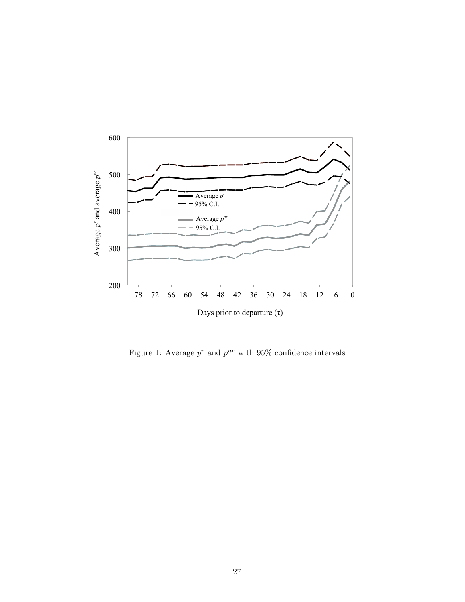

Figure 1: Average  $p^r$  and  $p^{nr}$  with 95% confidence intervals